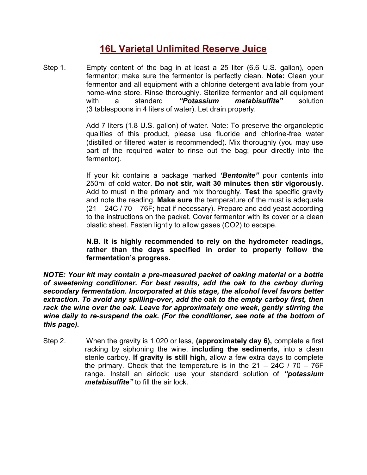## **16L Varietal Unlimited Reserve Juice**

Step 1. Empty content of the bag in at least a 25 liter (6.6 U.S. gallon), open fermentor; make sure the fermentor is perfectly clean. **Note:** Clean your fermentor and all equipment with a chlorine detergent available from your home-wine store. Rinse thoroughly. Sterilize fermentor and all equipment with a standard *"Potassium metabisulfite"* solution (3 tablespoons in 4 liters of water). Let drain properly.

> Add 7 liters (1.8 U.S. gallon) of water. Note: To preserve the organoleptic qualities of this product, please use fluoride and chlorine-free water (distilled or filtered water is recommended). Mix thoroughly (you may use part of the required water to rinse out the bag; pour directly into the fermentor).

> If your kit contains a package marked *'Bentonite"* pour contents into 250ml of cold water. **Do not stir, wait 30 minutes then stir vigorously.** Add to must in the primary and mix thoroughly. **Test** the specific gravity and note the reading. **Make sure** the temperature of the must is adequate (21 – 24C / 70 – 76F; heat if necessary). Prepare and add yeast according to the instructions on the packet. Cover fermentor with its cover or a clean plastic sheet. Fasten lightly to allow gases (CO2) to escape.

> **N.B. It is highly recommended to rely on the hydrometer readings, rather than the days specified in order to properly follow the fermentation's progress.**

*NOTE: Your kit may contain a pre-measured packet of oaking material or a bottle of sweetening conditioner. For best results, add the oak to the carboy during secondary fermentation. Incorporated at this stage, the alcohol level favors better extraction. To avoid any spilling-over, add the oak to the empty carboy first, then rack the wine over the oak. Leave for approximately one week, gently stirring the wine daily to re-suspend the oak. (For the conditioner, see note at the bottom of this page).*

Step 2. When the gravity is 1,020 or less, **(approximately day 6),** complete a first racking by siphoning the wine, **including the sediments,** into a clean sterile carboy. **If gravity is still high,** allow a few extra days to complete the primary. Check that the temperature is in the  $21 - 24C / 70 - 76F$ range. Install an airlock; use your standard solution of *"potassium metabisulfite"* to fill the air lock.